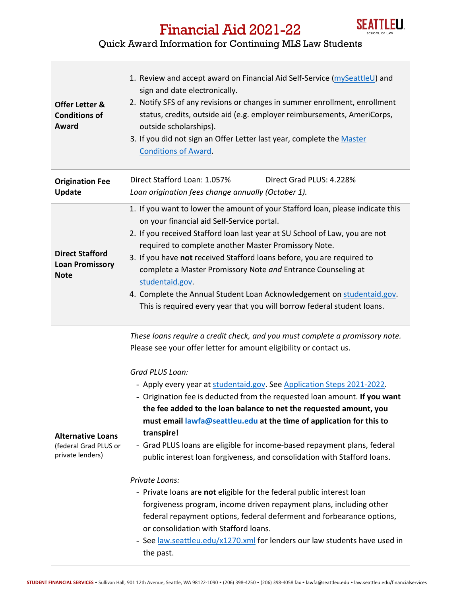

## Financial Aid 2021-22

## Quick Award Information for Continuing MLS Law Students

| <b>Offer Letter &amp;</b><br><b>Conditions of</b><br>Award            | 1. Review and accept award on Financial Aid Self-Service (mySeattleU) and<br>sign and date electronically.<br>2. Notify SFS of any revisions or changes in summer enrollment, enrollment<br>status, credits, outside aid (e.g. employer reimbursements, AmeriCorps,<br>outside scholarships).<br>3. If you did not sign an Offer Letter last year, complete the Master<br><b>Conditions of Award.</b>                                                                                                                                                                                                                                                                                                                                                                                                                                                                                                                                                                                                                           |
|-----------------------------------------------------------------------|---------------------------------------------------------------------------------------------------------------------------------------------------------------------------------------------------------------------------------------------------------------------------------------------------------------------------------------------------------------------------------------------------------------------------------------------------------------------------------------------------------------------------------------------------------------------------------------------------------------------------------------------------------------------------------------------------------------------------------------------------------------------------------------------------------------------------------------------------------------------------------------------------------------------------------------------------------------------------------------------------------------------------------|
| <b>Origination Fee</b><br><b>Update</b>                               | Direct Stafford Loan: 1.057%<br>Direct Grad PLUS: 4.228%<br>Loan origination fees change annually (October 1).                                                                                                                                                                                                                                                                                                                                                                                                                                                                                                                                                                                                                                                                                                                                                                                                                                                                                                                  |
| <b>Direct Stafford</b><br><b>Loan Promissory</b><br><b>Note</b>       | 1. If you want to lower the amount of your Stafford loan, please indicate this<br>on your financial aid Self-Service portal.<br>2. If you received Stafford loan last year at SU School of Law, you are not<br>required to complete another Master Promissory Note.<br>3. If you have not received Stafford loans before, you are required to<br>complete a Master Promissory Note and Entrance Counseling at<br>studentaid.gov.<br>4. Complete the Annual Student Loan Acknowledgement on studentaid.gov.<br>This is required every year that you will borrow federal student loans.                                                                                                                                                                                                                                                                                                                                                                                                                                           |
| <b>Alternative Loans</b><br>(federal Grad PLUS or<br>private lenders) | These loans require a credit check, and you must complete a promissory note.<br>Please see your offer letter for amount eligibility or contact us.<br>Grad PLUS Loan:<br>- Apply every year at studentaid.gov. See Application Steps 2021-2022.<br>- Origination fee is deducted from the requested loan amount. If you want<br>the fee added to the loan balance to net the requested amount, you<br>must email lawfa@seattleu.edu at the time of application for this to<br>transpire!<br>- Grad PLUS loans are eligible for income-based repayment plans, federal<br>public interest loan forgiveness, and consolidation with Stafford loans.<br>Private Loans:<br>- Private loans are not eligible for the federal public interest loan<br>forgiveness program, income driven repayment plans, including other<br>federal repayment options, federal deferment and forbearance options,<br>or consolidation with Stafford loans.<br>- See law.seattleu.edu/x1270.xml for lenders our law students have used in<br>the past. |